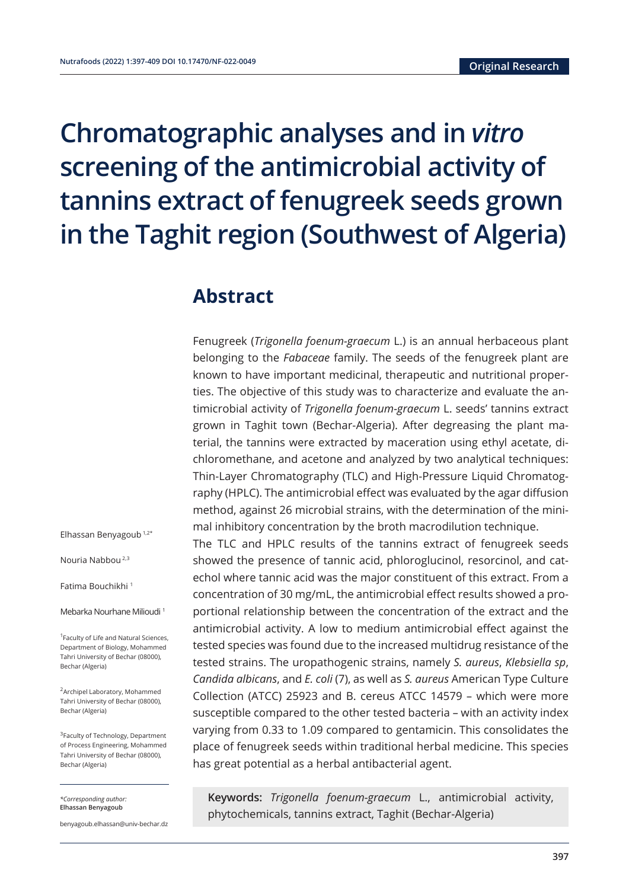# **Chromatographic analyses and in** *vitro* **screening of the antimicrobial activity of tannins extract of fenugreek seeds grown in the Taghit region (Southwest of Algeria)**

### **Abstract**

Fenugreek (*Trigonella foenum-graecum* L.) is an annual herbaceous plant belonging to the *Fabaceae* family. The seeds of the fenugreek plant are known to have important medicinal, therapeutic and nutritional properties. The objective of this study was to characterize and evaluate the antimicrobial activity of *Trigonella foenum-graecum* L. seeds' tannins extract grown in Taghit town (Bechar-Algeria). After degreasing the plant material, the tannins were extracted by maceration using ethyl acetate, dichloromethane, and acetone and analyzed by two analytical techniques: Thin-Layer Chromatography (TLC) and High-Pressure Liquid Chromatography (HPLC). The antimicrobial effect was evaluated by the agar diffusion method, against 26 microbial strains, with the determination of the minimal inhibitory concentration by the broth macrodilution technique.

The TLC and HPLC results of the tannins extract of fenugreek seeds showed the presence of tannic acid, phloroglucinol, resorcinol, and catechol where tannic acid was the major constituent of this extract. From a concentration of 30 mg/mL, the antimicrobial effect results showed a proportional relationship between the concentration of the extract and the antimicrobial activity. A low to medium antimicrobial effect against the tested species was found due to the increased multidrug resistance of the tested strains. The uropathogenic strains, namely *S. aureus*, *Klebsiella sp*, *Candida albicans*, and *E. coli* (7), as well as *S. aureus* American Type Culture Collection (ATCC) 25923 and B. cereus ATCC 14579 – which were more susceptible compared to the other tested bacteria – with an activity index varying from 0.33 to 1.09 compared to gentamicin. This consolidates the place of fenugreek seeds within traditional herbal medicine. This species has great potential as a herbal antibacterial agent.

**Keywords:** *Trigonella foenum-graecum* L., antimicrobial activity, phytochemicals, tannins extract, Taghit (Bechar-Algeria)

Elhassan Benyagoub 1,2\*

Nouria Nabbou 2,3

Fatima Bouchikhi 1

Mebarka Nourhane Milioudi <sup>1</sup>

<sup>1</sup> Faculty of Life and Natural Sciences, Department of Biology, Mohammed Tahri University of Bechar (08000), Bechar (Algeria)

2Archipel Laboratory, Mohammed Tahri University of Bechar (08000), Bechar (Algeria)

3Faculty of Technology, Department of Process Engineering, Mohammed Tahri University of Bechar (08000), Bechar (Algeria)

*\*Corresponding author:*  **Elhassan Benyagoub**

benyagoub.elhassan@univ-bechar.dz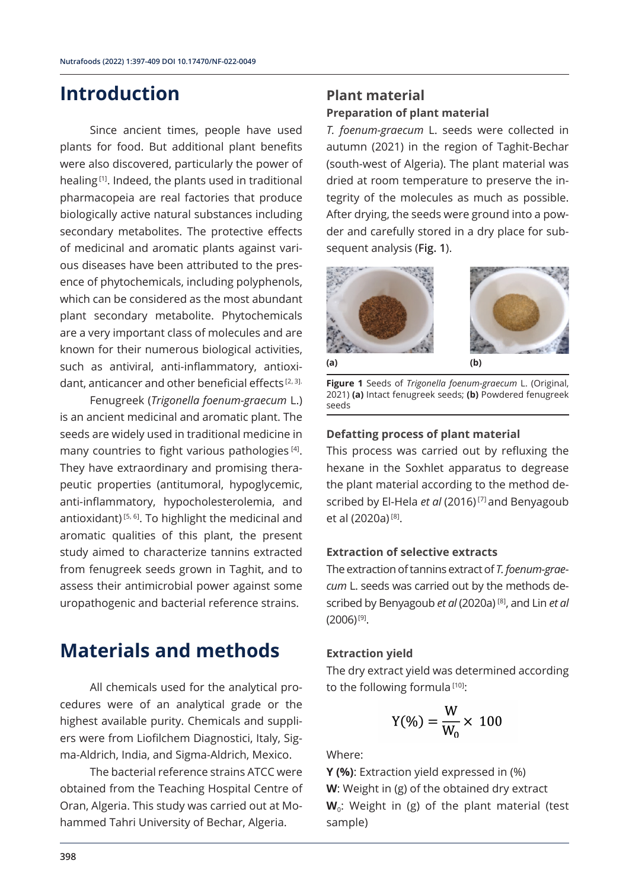### **Introduction**

Since ancient times, people have used plants for food. But additional plant benefits were also discovered, particularly the power of healing [1]. Indeed, the plants used in traditional pharmacopeia are real factories that produce biologically active natural substances including secondary metabolites. The protective effects of medicinal and aromatic plants against various diseases have been attributed to the presence of phytochemicals, including polyphenols, which can be considered as the most abundant plant secondary metabolite. Phytochemicals are a very important class of molecules and are known for their numerous biological activities, such as antiviral, anti-inflammatory, antioxidant, anticancer and other beneficial effects  $[2, 3]$ .

Fenugreek (*Trigonella foenum-graecum* L.) is an ancient medicinal and aromatic plant. The seeds are widely used in traditional medicine in many countries to fight various pathologies [4]. They have extraordinary and promising therapeutic properties (antitumoral, hypoglycemic, anti-inflammatory, hypocholesterolemia, and antioxidant) [5, 6]. To highlight the medicinal and aromatic qualities of this plant, the present study aimed to characterize tannins extracted from fenugreek seeds grown in Taghit, and to assess their antimicrobial power against some uropathogenic and bacterial reference strains.

### **Materials and methods**

All chemicals used for the analytical procedures were of an analytical grade or the highest available purity. Chemicals and suppliers were from Liofilchem Diagnostici, Italy, Sigma-Aldrich, India, and Sigma-Aldrich, Mexico.

The bacterial reference strains ATCC were obtained from the Teaching Hospital Centre of Oran, Algeria. This study was carried out at Mohammed Tahri University of Bechar, Algeria.

### **Plant material Preparation of plant material**

*T. foenum-graecum* L. seeds were collected in autumn (2021) in the region of Taghit-Bechar (south-west of Algeria). The plant material was dried at room temperature to preserve the integrity of the molecules as much as possible. After drying, the seeds were ground into a powder and carefully stored in a dry place for subsequent analysis (**Fig. 1**).



**Figure 1** Seeds of *Trigonella foenum-graecum* L. (Original, 2021) **(a)** Intact fenugreek seeds; **(b)** Powdered fenugreek seeds

### **Defatting process of plant material**

This process was carried out by refluxing the hexane in the Soxhlet apparatus to degrease the plant material according to the method described by El-Hela *et al* (2016) [7] and Benyagoub et al (2020a) [8].

### **Extraction of selective extracts**

The extraction of tannins extract of *T. foenum-graecum* L. seeds was carried out by the methods described by Benyagoub *et al* (2020a) [8], and Lin *et al*  $(2006)^{[9]}$ .

#### **Extraction yield**

The dry extract yield was determined according to the following formula<sup>[10]</sup>:

$$
Y(\%) = \frac{W}{W_0} \times 100
$$

#### Where:

**Y (%)**: Extraction yield expressed in (%) **W**: Weight in (g) of the obtained dry extract W<sub>0</sub>: Weight in (g) of the plant material (test sample)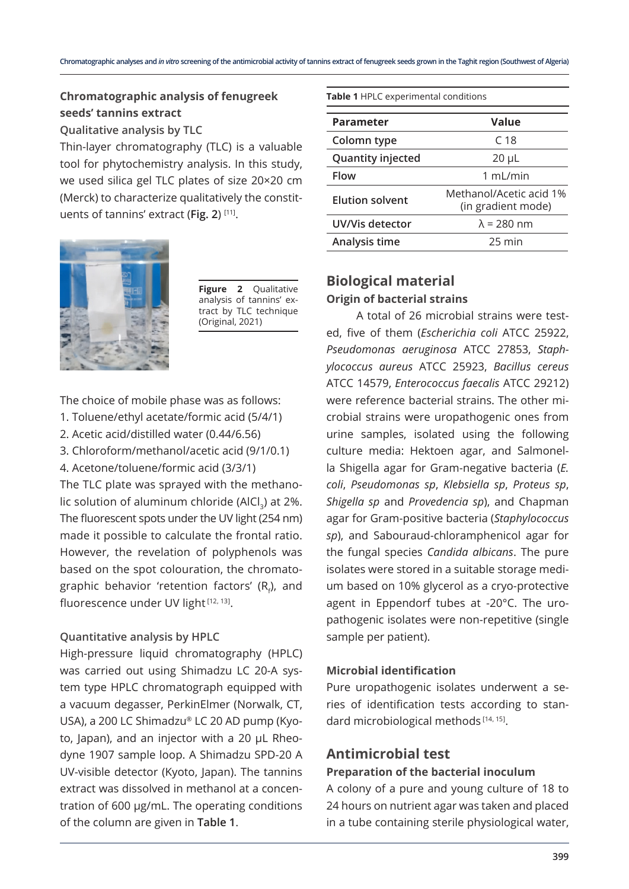### **Chromatographic analysis of fenugreek seeds' tannins extract**

**Qualitative analysis by TLC**

Thin-layer chromatography (TLC) is a valuable tool for phytochemistry analysis. In this study, we used silica gel TLC plates of size 20×20 cm (Merck) to characterize qualitatively the constituents of tannins' extract (**Fig. 2**) [11].



**Figure 2** Qualitative analysis of tannins' extract by TLC technique (Original, 2021)

The choice of mobile phase was as follows:

- 1. Toluene/ethyl acetate/formic acid (5/4/1)
- 2. Acetic acid/distilled water (0.44/6.56)
- 3. Chloroform/methanol/acetic acid (9/1/0.1)
- 4. Acetone/toluene/formic acid (3/3/1)

The TLC plate was sprayed with the methanolic solution of aluminum chloride (AlCl<sub>2</sub>) at 2%. The fluorescent spots under the UV light (254 nm) made it possible to calculate the frontal ratio. However, the revelation of polyphenols was based on the spot colouration, the chromatographic behavior 'retention factors' (R<sub>f</sub>), and fluorescence under UV light [12, 13].

### **Quantitative analysis by HPLC**

High-pressure liquid chromatography (HPLC) was carried out using Shimadzu LC 20-A system type HPLC chromatograph equipped with a vacuum degasser, PerkinElmer (Norwalk, CT, USA), a 200 LC Shimadzu® LC 20 AD pump (Kyoto, Japan), and an injector with a 20 µL Rheodyne 1907 sample loop. A Shimadzu SPD-20 A UV-visible detector (Kyoto, Japan). The tannins extract was dissolved in methanol at a concentration of 600 µg/mL. The operating conditions of the column are given in **Table 1**.

**Table 1** HPLC experimental conditions

| Value                                         |
|-----------------------------------------------|
| C <sub>18</sub>                               |
| $20 \mu L$                                    |
| 1 mL/min                                      |
| Methanol/Acetic acid 1%<br>(in gradient mode) |
| $\lambda$ = 280 nm                            |
| 25 min                                        |
|                                               |

### **Biological material Origin of bacterial strains**

A total of 26 microbial strains were tested, five of them (*Escherichia coli* ATCC 25922, *Pseudomonas aeruginosa* ATCC 27853, *Staphylococcus aureus* ATCC 25923, *Bacillus cereus* ATCC 14579, *Enterococcus faecalis* ATCC 29212) were reference bacterial strains. The other microbial strains were uropathogenic ones from urine samples, isolated using the following culture media: Hektoen agar, and Salmonella Shigella agar for Gram-negative bacteria (*E. coli*, *Pseudomonas sp*, *Klebsiella sp*, *Proteus sp*, *Shigella sp* and *Provedencia sp*), and Chapman agar for Gram-positive bacteria (*Staphylococcus sp*), and Sabouraud-chloramphenicol agar for the fungal species *Candida albicans*. The pure isolates were stored in a suitable storage medium based on 10% glycerol as a cryo-protective agent in Eppendorf tubes at -20°C. The uropathogenic isolates were non-repetitive (single sample per patient).

### **Microbial identification**

Pure uropathogenic isolates underwent a series of identification tests according to standard microbiological methods [14, 15].

### **Antimicrobial test**

### **Preparation of the bacterial inoculum**

A colony of a pure and young culture of 18 to 24 hours on nutrient agar was taken and placed in a tube containing sterile physiological water,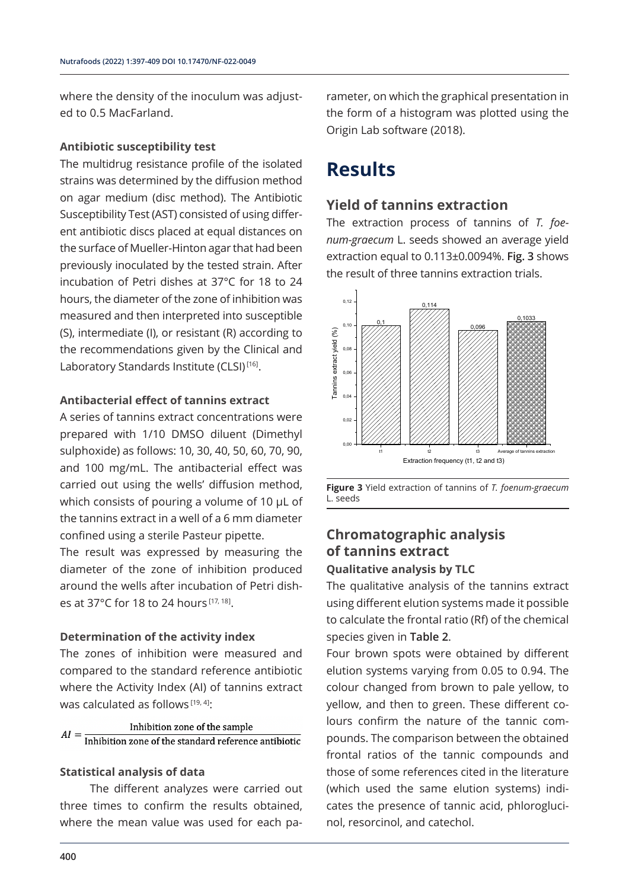where the density of the inoculum was adjusted to 0.5 MacFarland.

#### **Antibiotic susceptibility test**

The multidrug resistance profile of the isolated strains was determined by the diffusion method on agar medium (disc method). The Antibiotic Susceptibility Test (AST) consisted of using different antibiotic discs placed at equal distances on the surface of Mueller-Hinton agar that had been previously inoculated by the tested strain. After incubation of Petri dishes at 37°C for 18 to 24 hours, the diameter of the zone of inhibition was measured and then interpreted into susceptible (S), intermediate (I), or resistant (R) according to the recommendations given by the Clinical and Laboratory Standards Institute (CLSI)<sup>[16]</sup>.

#### **Antibacterial effect of tannins extract**

A series of tannins extract concentrations were prepared with 1/10 DMSO diluent (Dimethyl sulphoxide) as follows: 10, 30, 40, 50, 60, 70, 90, and 100 mg/mL. The antibacterial effect was carried out using the wells' diffusion method, which consists of pouring a volume of 10 μL of the tannins extract in a well of a 6 mm diameter confined using a sterile Pasteur pipette.

The result was expressed by measuring the diameter of the zone of inhibition produced around the wells after incubation of Petri dishes at 37°C for 18 to 24 hours [17, 18].

#### **Determination of the activity index**

The zones of inhibition were measured and compared to the standard reference antibiotic where the Activity Index (AI) of tannins extract was calculated as follows<sup>[19, 4]</sup>:

### Inhibition zone of the sample Inhibition zone of the standard reference antibiotic

#### **Statistical analysis of data**

The different analyzes were carried out three times to confirm the results obtained, where the mean value was used for each parameter, on which the graphical presentation in the form of a histogram was plotted using the Origin Lab software (2018).

### **Results**

### **Yield of tannins extraction**

The extraction process of tannins of *T. foenum-graecum* L. seeds showed an average yield extraction equal to 0.113±0.0094%. **Fig. 3** shows the result of three tannins extraction trials.



**Figure 3** Yield extraction of tannins of *T. foenum-graecum* L. seeds

### **Chromatographic analysis of tannins extract**

### **Qualitative analysis by TLC**

The qualitative analysis of the tannins extract using different elution systems made it possible to calculate the frontal ratio (Rf) of the chemical species given in **Table 2**.

Four brown spots were obtained by different elution systems varying from 0.05 to 0.94. The colour changed from brown to pale yellow, to yellow, and then to green. These different colours confirm the nature of the tannic compounds. The comparison between the obtained frontal ratios of the tannic compounds and those of some references cited in the literature (which used the same elution systems) indicates the presence of tannic acid, phloroglucinol, resorcinol, and catechol.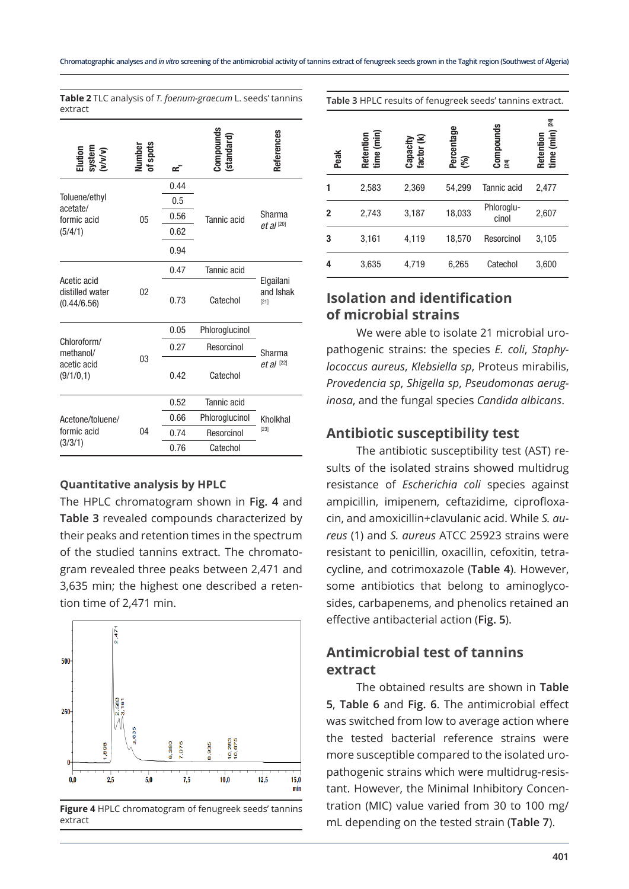| Elution<br>system<br>(v/v/v)                  | Number<br>of spots | ∝    | ompound:<br>standard | References                       |  |  |
|-----------------------------------------------|--------------------|------|----------------------|----------------------------------|--|--|
|                                               |                    | 0.44 |                      |                                  |  |  |
| Toluene/ethyl<br>acetate/                     |                    | 0.5  |                      | Sharma                           |  |  |
| formic acid                                   | 05                 | 0.56 | Tannic acid          |                                  |  |  |
| (5/4/1)                                       |                    | 0.62 |                      | $et al$ <sup>[20]</sup>          |  |  |
|                                               |                    | 0.94 |                      |                                  |  |  |
|                                               |                    | 0.47 | Tannic acid          |                                  |  |  |
| Acetic acid<br>distilled water<br>(0.44/6.56) | 02                 | 0.73 | Catechol             | Elgailani<br>and Ishak<br>$[21]$ |  |  |
|                                               |                    | 0.05 | Phloroglucinol       |                                  |  |  |
| Chloroform/<br>methanol/                      |                    | 0.27 | Resorcinol           | Sharma                           |  |  |
| acetic acid<br>(9/1/0, 1)                     | 03                 | 0.42 | Catechol             | $et al$ <sup>[22]</sup>          |  |  |
|                                               |                    | 0.52 | Tannic acid          |                                  |  |  |
| Acetone/toluene/                              |                    | 0.66 | Phloroglucinol       | Kholkhal                         |  |  |
| formic acid                                   | 04                 | 0.74 | Resorcinol           | $[23]$                           |  |  |
| (3/3/1)                                       |                    | 0.76 | Catechol             |                                  |  |  |

**Table 2** TLC analysis of *T. foenum-graecum* L. seeds' tannins extract

#### **Quantitative analysis by HPLC**

The HPLC chromatogram shown in **Fig. 4** and **Table 3** revealed compounds characterized by their peaks and retention times in the spectrum of the studied tannins extract. The chromatogram revealed three peaks between 2,471 and 3,635 min; the highest one described a retention time of 2,471 min.



**Figure 4** HPLC chromatogram of fenugreek seeds' tannins extract

| Peak         | Retention<br>time (min) | Capacity<br>factor (k) | Percentage<br>(%) | $\mathop{\mathrm{Componnds}}\limits_{[24]}$ | $[24]$<br>time (min)<br>Retention |
|--------------|-------------------------|------------------------|-------------------|---------------------------------------------|-----------------------------------|
| 1            | 2,583                   | 2,369                  | 54,299            | Tannic acid                                 | 2,477                             |
| $\mathbf{2}$ | 2,743                   | 3,187                  | 18,033            | Phloroglu-<br>cinol                         | 2,607                             |
| 3            | 3,161                   | 4,119                  | 18,570            | Resorcinol                                  | 3,105                             |
| 4            | 3,635                   | 4,719                  | 6,265             | Catechol                                    | 3,600                             |

**Table 3** HPLC results of fenugreek seeds' tannins extract.

### **Isolation and identification of microbial strains**

We were able to isolate 21 microbial uropathogenic strains: the species *E. coli*, *Staphylococcus aureus*, *Klebsiella sp*, Proteus mirabilis, *Provedencia sp*, *Shigella sp*, *Pseudomonas aeruginosa*, and the fungal species *Candida albicans*.

### **Antibiotic susceptibility test**

The antibiotic susceptibility test (AST) results of the isolated strains showed multidrug resistance of *Escherichia coli* species against ampicillin, imipenem, ceftazidime, ciprofloxacin, and amoxicillin+clavulanic acid. While *S. aureus* (1) and *S. aureus* ATCC 25923 strains were resistant to penicillin, oxacillin, cefoxitin, tetracycline, and cotrimoxazole (**Table 4**). However, some antibiotics that belong to aminoglycosides, carbapenems, and phenolics retained an effective antibacterial action (**Fig. 5**).

### **Antimicrobial test of tannins extract**

The obtained results are shown in **Table 5**, **Table 6** and **Fig. 6**. The antimicrobial effect was switched from low to average action where the tested bacterial reference strains were more susceptible compared to the isolated uropathogenic strains which were multidrug-resistant. However, the Minimal Inhibitory Concentration (MIC) value varied from 30 to 100 mg/ mL depending on the tested strain (**Table 7**).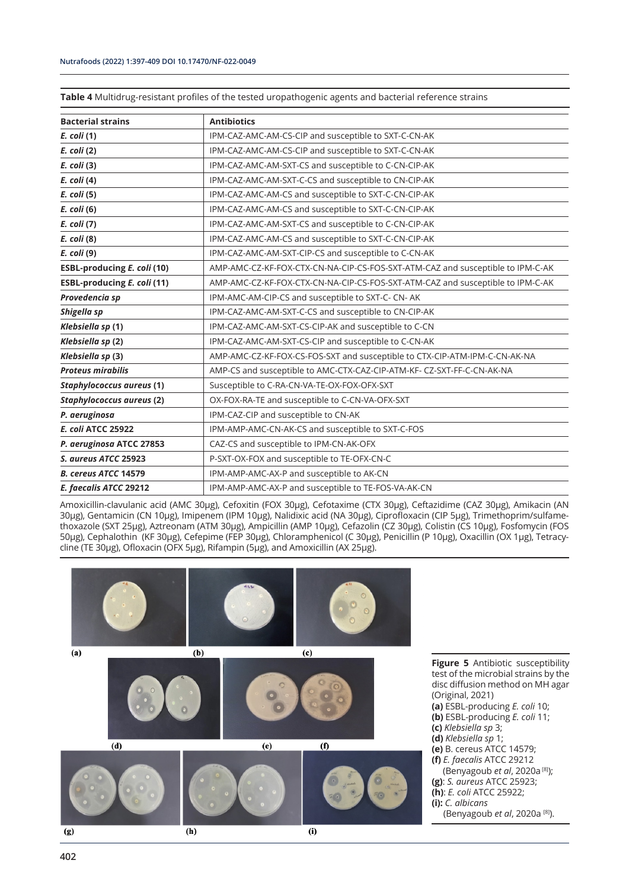**Table 4** Multidrug-resistant profiles of the tested uropathogenic agents and bacterial reference strains

| <b>Bacterial strains</b>           | <b>Antibiotics</b>                                                             |
|------------------------------------|--------------------------------------------------------------------------------|
| E. coli (1)                        | IPM-CAZ-AMC-AM-CS-CIP and susceptible to SXT-C-CN-AK                           |
| E. coli (2)                        | IPM-CAZ-AMC-AM-CS-CIP and susceptible to SXT-C-CN-AK                           |
| $E.$ coli (3)                      | IPM-CAZ-AMC-AM-SXT-CS and susceptible to C-CN-CIP-AK                           |
| E. coli (4)                        | IPM-CAZ-AMC-AM-SXT-C-CS and susceptible to CN-CIP-AK                           |
| E. coli (5)                        | IPM-CAZ-AMC-AM-CS and susceptible to SXT-C-CN-CIP-AK                           |
| E. coli (6)                        | IPM-CAZ-AMC-AM-CS and susceptible to SXT-C-CN-CIP-AK                           |
| E. coli (7)                        | IPM-CAZ-AMC-AM-SXT-CS and susceptible to C-CN-CIP-AK                           |
| E. coli (8)                        | IPM-CAZ-AMC-AM-CS and susceptible to SXT-C-CN-CIP-AK                           |
| E. coli (9)                        | IPM-CAZ-AMC-AM-SXT-CIP-CS and susceptible to C-CN-AK                           |
| <b>ESBL-producing E. coli (10)</b> | AMP-AMC-CZ-KF-FOX-CTX-CN-NA-CIP-CS-FOS-SXT-ATM-CAZ and susceptible to IPM-C-AK |
| <b>ESBL-producing E. coli (11)</b> | AMP-AMC-CZ-KF-FOX-CTX-CN-NA-CIP-CS-FOS-SXT-ATM-CAZ and susceptible to IPM-C-AK |
| Provedencia sp                     | IPM-AMC-AM-CIP-CS and susceptible to SXT-C- CN- AK                             |
| Shigella sp                        | IPM-CAZ-AMC-AM-SXT-C-CS and susceptible to CN-CIP-AK                           |
| Klebsiella sp (1)                  | IPM-CAZ-AMC-AM-SXT-CS-CIP-AK and susceptible to C-CN                           |
| Klebsiella sp (2)                  | IPM-CAZ-AMC-AM-SXT-CS-CIP and susceptible to C-CN-AK                           |
| Klebsiella sp (3)                  | AMP-AMC-CZ-KF-FOX-CS-FOS-SXT and susceptible to CTX-CIP-ATM-IPM-C-CN-AK-NA     |
| <b>Proteus mirabilis</b>           | AMP-CS and susceptible to AMC-CTX-CAZ-CIP-ATM-KF- CZ-SXT-FF-C-CN-AK-NA         |
| <b>Staphylococcus aureus (1)</b>   | Susceptible to C-RA-CN-VA-TE-OX-FOX-OFX-SXT                                    |
| Staphylococcus aureus (2)          | OX-FOX-RA-TE and susceptible to C-CN-VA-OFX-SXT                                |
| P. aeruginosa                      | IPM-CAZ-CIP and susceptible to CN-AK                                           |
| <b>E. coli ATCC 25922</b>          | IPM-AMP-AMC-CN-AK-CS and susceptible to SXT-C-FOS                              |
| P. aeruginosa ATCC 27853           | CAZ-CS and susceptible to IPM-CN-AK-OFX                                        |
| S. aureus ATCC 25923               | P-SXT-OX-FOX and susceptible to TE-OFX-CN-C                                    |
| <b>B. cereus ATCC 14579</b>        | IPM-AMP-AMC-AX-P and susceptible to AK-CN                                      |
| E. faecalis ATCC 29212             | IPM-AMP-AMC-AX-P and susceptible to TE-FOS-VA-AK-CN                            |

Amoxicillin-clavulanic acid (AMC 30μg), Cefoxitin (FOX 30µg), Cefotaxime (CTX 30µg), Ceftazidime (CAZ 30µg), Amikacin (AN 30µg), Gentamicin (CN 10μg), Imipenem (IPM 10µg), Nalidixic acid (NA 30µg), Ciprofloxacin (CIP 5μg), Trimethoprim/sulfamethoxazole (SXT 25μg), Aztreonam (ATM 30μg), Ampicillin (AMP 10μg), Cefazolin (CZ 30µg), Colistin (CS 10μg), Fosfomycin (FOS 50µg), Cephalothin (KF 30µg), Cefepime (FEP 30µg), Chloramphenicol (C 30μg), Penicillin (P 10µg), Oxacillin (OX 1µg), Tetracycline (TE 30µg), Ofloxacin (OFX 5µg), Rifampin (5µg), and Amoxicillin (AX 25µg).

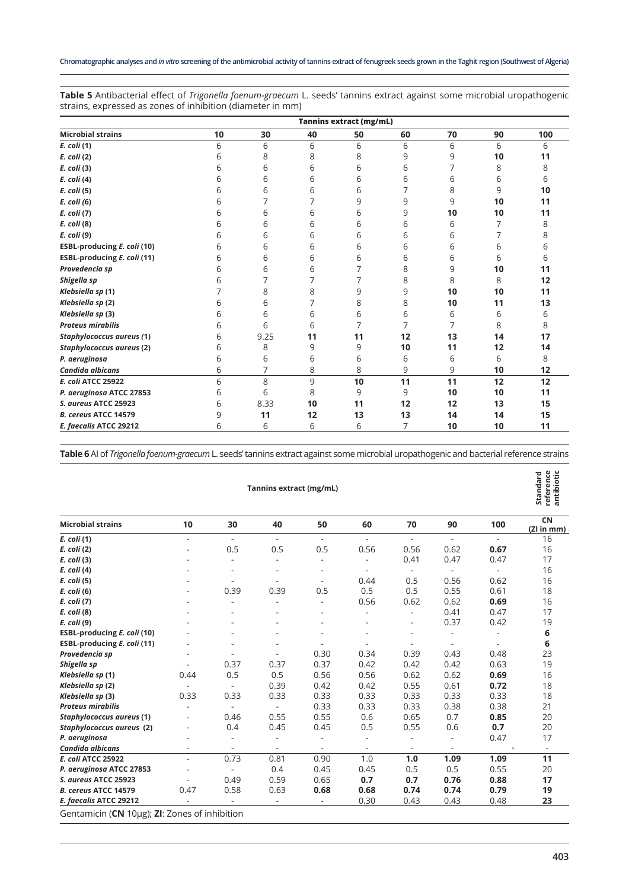**Table 5** Antibacterial effect of *Trigonella foenum-graecum* L. seeds' tannins extract against some microbial uropathogenic strains, expressed as zones of inhibition (diameter in mm)

|                             | <b>Tannins extract (mg/mL)</b> |      |    |    |    |    |    |     |
|-----------------------------|--------------------------------|------|----|----|----|----|----|-----|
| <b>Microbial strains</b>    | 10                             | 30   | 40 | 50 | 60 | 70 | 90 | 100 |
| E. coli (1)                 | 6                              | 6    | 6  | 6  | 6  | 6  | 6  | 6   |
| E. coli (2)                 | 6                              | 8    | 8  | 8  | 9  | 9  | 10 | 11  |
| E. coli (3)                 | 6                              | 6    | 6  | 6  | 6  | 7  | 8  | 8   |
| E. coli (4)                 | 6                              | 6    | 6  | 6  | 6  | 6  | 6  | 6   |
| E. coli (5)                 | 6                              | 6    | 6  | 6  |    | 8  | 9  | 10  |
| E. coli (6)                 | 6                              | 7    |    | 9  | 9  | 9  | 10 | 11  |
| E. coli (7)                 | 6                              | 6    | 6  | 6  | 9  | 10 | 10 | 11  |
| E. coli (8)                 | 6                              | 6    | 6  | 6  | 6  | 6  | 7  | 8   |
| E. coli (9)                 | 6                              | 6    | 6  | 6  | 6  | 6  |    | 8   |
| ESBL-producing E. coli (10) | 6                              | 6    | 6  | 6  | 6  | 6  | 6  | 6   |
| ESBL-producing E. coli (11) | 6                              | 6    | 6  | 6  | 6  | 6  | 6  | 6   |
| Provedencia sp              | 6                              | 6    | 6  | 7  | 8  | 9  | 10 | 11  |
| Shigella sp                 | 6                              | 7    | 7  | 7  | 8  | 8  | 8  | 12  |
| Klebsiella sp (1)           |                                | 8    | 8  | 9  | 9  | 10 | 10 | 11  |
| Klebsiella sp (2)           | 6                              | 6    | 7  | 8  | 8  | 10 | 11 | 13  |
| Klebsiella sp (3)           | 6                              | 6    | 6  | 6  | 6  | 6  | 6  | 6   |
| <b>Proteus mirabilis</b>    | 6                              | 6    | 6  | 7  | 7  | 7  | 8  | 8   |
| Staphylococcus aureus (1)   | 6                              | 9.25 | 11 | 11 | 12 | 13 | 14 | 17  |
| Staphylococcus aureus (2)   | 6                              | 8    | 9  | 9  | 10 | 11 | 12 | 14  |
| P. aeruginosa               | 6                              | 6    | 6  | 6  | 6  | 6  | 6  | 8   |
| Candida albicans            | 6                              | 7    | 8  | 8  | 9  | 9  | 10 | 12  |
| <b>E. coli ATCC 25922</b>   | 6                              | 8    | 9  | 10 | 11 | 11 | 12 | 12  |
| P. aeruginosa ATCC 27853    | 6                              | 6    | 8  | 9  | 9  | 10 | 10 | 11  |
| S. aureus ATCC 25923        | 6                              | 8.33 | 10 | 11 | 12 | 12 | 13 | 15  |
| B. cereus ATCC 14579        | 9                              | 11   | 12 | 13 | 13 | 14 | 14 | 15  |
| E. faecalis ATCC 29212      | 6                              | 6    | 6  | 6  | 7  | 10 | 10 | 11  |

**Table 6** AI of *Trigonella foenum-graecum* L. seeds' tannins extract against some microbial uropathogenic and bacterial reference strains

|                                               |      |                          |                          |                          |                          |        |                          |                          | ង ៤ ទី           |
|-----------------------------------------------|------|--------------------------|--------------------------|--------------------------|--------------------------|--------|--------------------------|--------------------------|------------------|
| <b>Microbial strains</b>                      | 10   | 30                       | 40                       | 50                       | 60                       | 70     | 90                       | 100                      | CN<br>(ZI in mm) |
| E. coli (1)                                   | ÷.   | $\sim$                   | $\sim$                   | $\overline{\phantom{a}}$ | ÷.                       | ٠      | $\overline{\phantom{a}}$ | $\overline{\phantom{a}}$ | 16               |
| E. coli (2)                                   |      | 0.5                      | 0.5                      | 0.5                      | 0.56                     | 0.56   | 0.62                     | 0.67                     | 16               |
| E. coli (3)                                   |      | L.                       | ٠                        | $\overline{\phantom{a}}$ | ٠                        | 0.41   | 0.47                     | 0.47                     | 17               |
| E. coli (4)                                   |      | L,                       | ٠                        | ٠                        | $\overline{\phantom{a}}$ | $\sim$ | ٠                        |                          | 16               |
| E. coli (5)                                   |      |                          | ÷.                       | ٠                        | 0.44                     | 0.5    | 0.56                     | 0.62                     | 16               |
| E. coli (6)                                   |      | 0.39                     | 0.39                     | 0.5                      | 0.5                      | 0.5    | 0.55                     | 0.61                     | 18               |
| E. coli (7)                                   |      | L,                       |                          | $\overline{\phantom{a}}$ | 0.56                     | 0.62   | 0.62                     | 0.69                     | 16               |
| E. coli (8)                                   |      | ÷.                       |                          |                          | ٠                        | ٠      | 0.41                     | 0.47                     | 17               |
| E. coli (9)                                   |      | ÷.                       |                          | ٠                        | ٠                        | ٠      | 0.37                     | 0.42                     | 19               |
| ESBL-producing E. coli (10)                   |      |                          |                          | ٠                        |                          | ÷      | ÷                        | ٠                        | 6                |
| ESBL-producing E. coli (11)                   |      |                          |                          | $\overline{\phantom{0}}$ | $\overline{\phantom{a}}$ | ٠      | $\overline{\phantom{a}}$ | ÷,                       | 6                |
| Provedencia sp                                |      |                          | $\overline{\phantom{a}}$ | 0.30                     | 0.34                     | 0.39   | 0.43                     | 0.48                     | 23               |
| Shigella sp                                   |      | 0.37                     | 0.37                     | 0.37                     | 0.42                     | 0.42   | 0.42                     | 0.63                     | 19               |
| Klebsiella sp (1)                             | 0.44 | 0.5                      | 0.5                      | 0.56                     | 0.56                     | 0.62   | 0.62                     | 0.69                     | 16               |
| Klebsiella sp (2)                             | Ξ.   | $\overline{\phantom{a}}$ | 0.39                     | 0.42                     | 0.42                     | 0.55   | 0.61                     | 0.72                     | 18               |
| Klebsiella sp (3)                             | 0.33 | 0.33                     | 0.33                     | 0.33                     | 0.33                     | 0.33   | 0.33                     | 0.33                     | 18               |
| <b>Proteus mirabilis</b>                      |      | $\blacksquare$           | $\overline{\phantom{a}}$ | 0.33                     | 0.33                     | 0.33   | 0.38                     | 0.38                     | 21               |
| Staphylococcus aureus (1)                     |      | 0.46                     | 0.55                     | 0.55                     | 0.6                      | 0.65   | 0.7                      | 0.85                     | 20               |
| Staphylococcus aureus (2)                     |      | 0.4                      | 0.45                     | 0.45                     | 0.5                      | 0.55   | 0.6                      | 0.7                      | 20               |
| P. aeruginosa                                 |      | ÷,                       | $\overline{\phantom{a}}$ |                          | $\overline{\phantom{a}}$ |        |                          | 0.47                     | 17               |
| Candida albicans                              |      | $\overline{\phantom{a}}$ | $\overline{\phantom{a}}$ | $\overline{\phantom{a}}$ | $\overline{\phantom{a}}$ | ٠      | $\overline{\phantom{a}}$ |                          | $\sim$           |
| <b>E. coli ATCC 25922</b>                     |      | 0.73                     | 0.81                     | 0.90                     | 1.0                      | 1.0    | 1.09                     | 1.09                     | 11               |
| P. aeruginosa ATCC 27853                      |      | $\overline{\phantom{a}}$ | 0.4                      | 0.45                     | 0.45                     | 0.5    | 0.5                      | 0.55                     | 20               |
| S. aureus ATCC 25923                          |      | 0.49                     | 0.59                     | 0.65                     | 0.7                      | 0.7    | 0.76                     | 0.88                     | 17               |
| B. cereus ATCC 14579                          | 0.47 | 0.58                     | 0.63                     | 0.68                     | 0.68                     | 0.74   | 0.74                     | 0.79                     | 19               |
| E. faecalis ATCC 29212                        |      |                          |                          |                          | 0.30                     | 0.43   | 0.43                     | 0.48                     | 23               |
| Gentamicin (CN 10µg); ZI: Zones of inhibition |      |                          |                          |                          |                          |        |                          |                          |                  |

#### **Tannins extract (mg/mL)**

#### andard<br>ference<br>tibiotic **reference antibiotic Standard**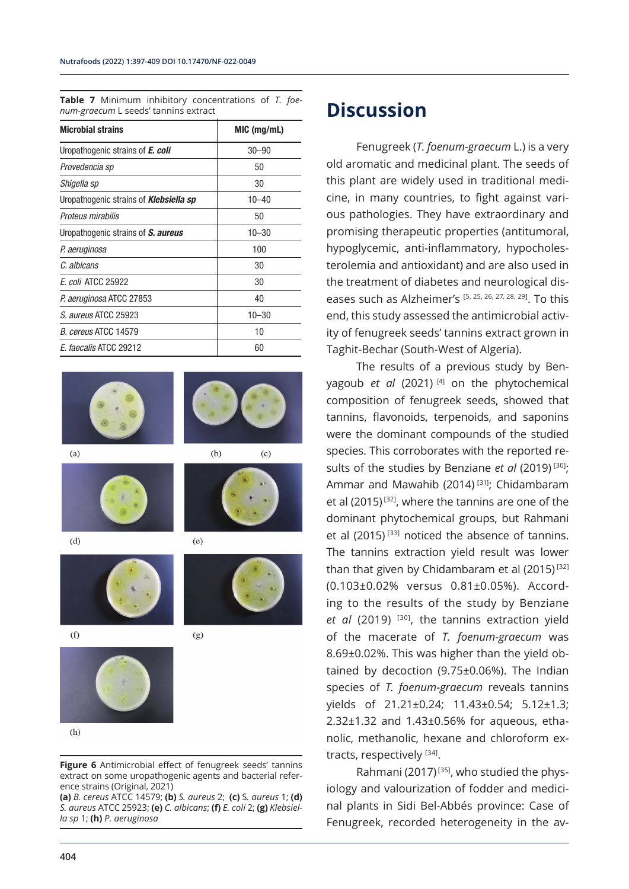**Table 7** Minimum inhibitory concentrations of *T. foenum-graecum* L seeds' tannins extract

| <b>Microbial strains</b>                      | MIC (mg/mL) |
|-----------------------------------------------|-------------|
| Uropathogenic strains of <b>E. coli</b>       | $30 - 90$   |
| Provedencia sp                                | 50          |
| Shigella sp                                   | 30          |
| Uropathogenic strains of <b>Klebsiella sp</b> | $10 - 40$   |
| Proteus mirabilis                             | 50          |
| Uropathogenic strains of S. aureus            | $10 - 30$   |
| P. aeruginosa                                 | 100         |
| C. albicans                                   | 30          |
| E. coli ATCC 25922                            | 30          |
| P. aeruginosa ATCC 27853                      | 40          |
| S. aureus ATCC 25923                          | $10 - 30$   |
| B. cereus ATCC 14579                          | 10          |
| E. faecalis ATCC 29212                        | 60          |



 $(h)$ 

**Figure 6** Antimicrobial effect of fenugreek seeds' tannins extract on some uropathogenic agents and bacterial reference strains (Original, 2021)

**(a)** *B. cereus* ATCC 14579; **(b)** *S. aureus* 2; **(c)** S*. aureus* 1; **(d)**  *S. aureus* ATCC 25923; **(e)** *C. albicans*; **(f)** *E. coli* 2; **(g)** *Klebsiella sp* 1; **(h)** *P. aeruginosa*

### **Discussion**

Fenugreek (*T. foenum-graecum* L.) is a very old aromatic and medicinal plant. The seeds of this plant are widely used in traditional medicine, in many countries, to fight against various pathologies. They have extraordinary and promising therapeutic properties (antitumoral, hypoglycemic, anti-inflammatory, hypocholesterolemia and antioxidant) and are also used in the treatment of diabetes and neurological diseases such as Alzheimer's  $[5, 25, 26, 27, 28, 29]$ . To this end, this study assessed the antimicrobial activity of fenugreek seeds' tannins extract grown in Taghit-Bechar (South-West of Algeria).

The results of a previous study by Benyagoub *et al* (2021) [4] on the phytochemical composition of fenugreek seeds, showed that tannins, flavonoids, terpenoids, and saponins were the dominant compounds of the studied species. This corroborates with the reported results of the studies by Benziane et al (2019)<sup>[30]</sup>; Ammar and Mawahib (2014)<sup>[31]</sup>; Chidambaram et al (2015) [32], where the tannins are one of the dominant phytochemical groups, but Rahmani et al (2015)<sup>[33]</sup> noticed the absence of tannins. The tannins extraction yield result was lower than that given by Chidambaram et al (2015)<sup>[32]</sup> (0.103±0.02% versus 0.81±0.05%). According to the results of the study by Benziane et al (2019) <sup>[30]</sup>, the tannins extraction yield of the macerate of *T. foenum-graecum* was 8.69±0.02%. This was higher than the yield obtained by decoction (9.75±0.06%). The Indian species of *T. foenum-graecum* reveals tannins yields of 21.21±0.24; 11.43±0.54; 5.12±1.3; 2.32±1.32 and 1.43±0.56% for aqueous, ethanolic, methanolic, hexane and chloroform extracts, respectively [34].

Rahmani (2017)<sup>[35]</sup>, who studied the physiology and valourization of fodder and medicinal plants in Sidi Bel-Abbés province: Case of Fenugreek, recorded heterogeneity in the av-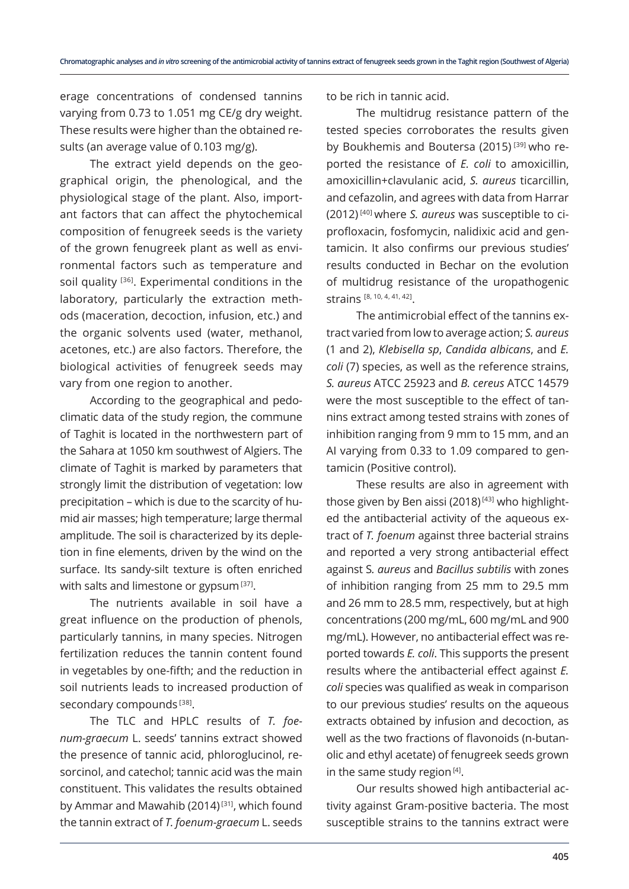erage concentrations of condensed tannins varying from 0.73 to 1.051 mg CE/g dry weight. These results were higher than the obtained results (an average value of 0.103 mg/g).

The extract yield depends on the geographical origin, the phenological, and the physiological stage of the plant. Also, important factors that can affect the phytochemical composition of fenugreek seeds is the variety of the grown fenugreek plant as well as environmental factors such as temperature and soil quality <sup>[36]</sup>. Experimental conditions in the laboratory, particularly the extraction methods (maceration, decoction, infusion, etc.) and the organic solvents used (water, methanol, acetones, etc.) are also factors. Therefore, the biological activities of fenugreek seeds may vary from one region to another.

According to the geographical and pedoclimatic data of the study region, the commune of Taghit is located in the northwestern part of the Sahara at 1050 km southwest of Algiers. The climate of Taghit is marked by parameters that strongly limit the distribution of vegetation: low precipitation – which is due to the scarcity of humid air masses; high temperature; large thermal amplitude. The soil is characterized by its depletion in fine elements, driven by the wind on the surface. Its sandy-silt texture is often enriched with salts and limestone or gypsum<sup>[37]</sup>.

The nutrients available in soil have a great influence on the production of phenols, particularly tannins, in many species. Nitrogen fertilization reduces the tannin content found in vegetables by one-fifth; and the reduction in soil nutrients leads to increased production of secondary compounds<sup>[38]</sup>.

The TLC and HPLC results of *T. foenum-graecum* L. seeds' tannins extract showed the presence of tannic acid, phloroglucinol, resorcinol, and catechol; tannic acid was the main constituent. This validates the results obtained by Ammar and Mawahib (2014)<sup>[31]</sup>, which found the tannin extract of *T. foenum-graecum* L. seeds

to be rich in tannic acid.

The multidrug resistance pattern of the tested species corroborates the results given by Boukhemis and Boutersa (2015)<sup>[39]</sup> who reported the resistance of *E. coli* to amoxicillin, amoxicillin+clavulanic acid, *S. aureus* ticarcillin, and cefazolin, and agrees with data from Harrar (2012) [40] where *S. aureus* was susceptible to ciprofloxacin, fosfomycin, nalidixic acid and gentamicin. It also confirms our previous studies' results conducted in Bechar on the evolution of multidrug resistance of the uropathogenic strains [8, 10, 4, 41, 42].

The antimicrobial effect of the tannins extract varied from low to average action; *S. aureus* (1 and 2), *Klebisella sp*, *Candida albicans*, and *E. coli* (7) species, as well as the reference strains, *S. aureus* ATCC 25923 and *B. cereus* ATCC 14579 were the most susceptible to the effect of tannins extract among tested strains with zones of inhibition ranging from 9 mm to 15 mm, and an AI varying from 0.33 to 1.09 compared to gentamicin (Positive control).

These results are also in agreement with those given by Ben aissi (2018)<sup>[43]</sup> who highlighted the antibacterial activity of the aqueous extract of *T. foenum* against three bacterial strains and reported a very strong antibacterial effect against S*. aureus* and *Bacillus subtilis* with zones of inhibition ranging from 25 mm to 29.5 mm and 26 mm to 28.5 mm, respectively, but at high concentrations (200 mg/mL, 600 mg/mL and 900 mg/mL). However, no antibacterial effect was reported towards *E. coli*. This supports the present results where the antibacterial effect against *E. coli* species was qualified as weak in comparison to our previous studies' results on the aqueous extracts obtained by infusion and decoction, as well as the two fractions of flavonoids (n-butanolic and ethyl acetate) of fenugreek seeds grown in the same study region<sup>[4]</sup>.

Our results showed high antibacterial activity against Gram-positive bacteria. The most susceptible strains to the tannins extract were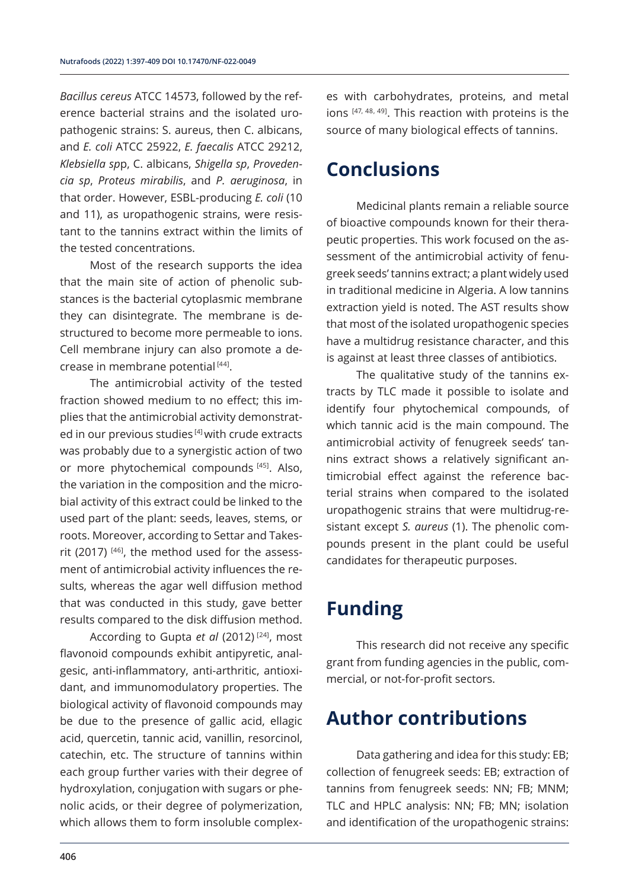*Bacillus cereus* ATCC 14573, followed by the reference bacterial strains and the isolated uropathogenic strains: S. aureus, then C. albicans, and *E. coli* ATCC 25922, *E. faecalis* ATCC 29212, *Klebsiella sp*p, C. albicans, *Shigella sp*, *Provedencia sp*, *Proteus mirabilis*, and *P. aeruginosa*, in that order. However, ESBL-producing *E. coli* (10 and 11), as uropathogenic strains, were resistant to the tannins extract within the limits of the tested concentrations.

Most of the research supports the idea that the main site of action of phenolic substances is the bacterial cytoplasmic membrane they can disintegrate. The membrane is destructured to become more permeable to ions. Cell membrane injury can also promote a decrease in membrane potential<sup>[44]</sup>.

The antimicrobial activity of the tested fraction showed medium to no effect; this implies that the antimicrobial activity demonstrated in our previous studies<sup>[4]</sup> with crude extracts was probably due to a synergistic action of two or more phytochemical compounds [45]. Also, the variation in the composition and the microbial activity of this extract could be linked to the used part of the plant: seeds, leaves, stems, or roots. Moreover, according to Settar and Takesrit (2017) [46], the method used for the assessment of antimicrobial activity influences the results, whereas the agar well diffusion method that was conducted in this study, gave better results compared to the disk diffusion method.

According to Gupta *et al* (2012) [24], most flavonoid compounds exhibit antipyretic, analgesic, anti-inflammatory, anti-arthritic, antioxidant, and immunomodulatory properties. The biological activity of flavonoid compounds may be due to the presence of gallic acid, ellagic acid, quercetin, tannic acid, vanillin, resorcinol, catechin, etc. The structure of tannins within each group further varies with their degree of hydroxylation, conjugation with sugars or phenolic acids, or their degree of polymerization, which allows them to form insoluble complexes with carbohydrates, proteins, and metal ions [47, 48, 49]. This reaction with proteins is the source of many biological effects of tannins.

### **Conclusions**

Medicinal plants remain a reliable source of bioactive compounds known for their therapeutic properties. This work focused on the assessment of the antimicrobial activity of fenugreek seeds' tannins extract; a plant widely used in traditional medicine in Algeria. A low tannins extraction yield is noted. The AST results show that most of the isolated uropathogenic species have a multidrug resistance character, and this is against at least three classes of antibiotics.

The qualitative study of the tannins extracts by TLC made it possible to isolate and identify four phytochemical compounds, of which tannic acid is the main compound. The antimicrobial activity of fenugreek seeds' tannins extract shows a relatively significant antimicrobial effect against the reference bacterial strains when compared to the isolated uropathogenic strains that were multidrug-resistant except *S. aureus* (1). The phenolic compounds present in the plant could be useful candidates for therapeutic purposes.

# **Funding**

This research did not receive any specific grant from funding agencies in the public, commercial, or not-for-profit sectors.

## **Author contributions**

Data gathering and idea for this study: EB; collection of fenugreek seeds: EB; extraction of tannins from fenugreek seeds: NN; FB; MNM; TLC and HPLC analysis: NN; FB; MN; isolation and identification of the uropathogenic strains: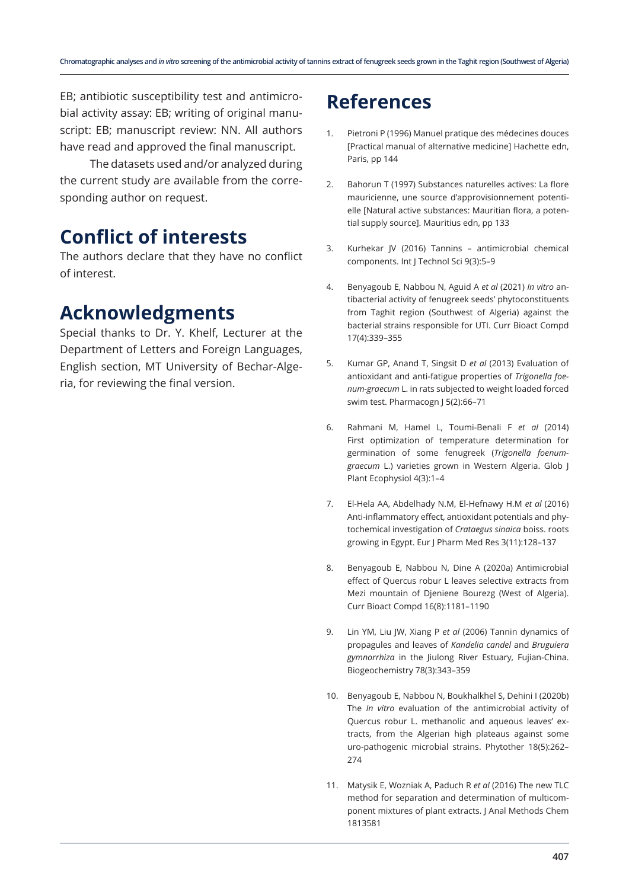EB; antibiotic susceptibility test and antimicrobial activity assay: EB; writing of original manuscript: EB; manuscript review: NN. All authors have read and approved the final manuscript.

The datasets used and/or analyzed during the current study are available from the corresponding author on request.

### **Conflict of interests**

The authors declare that they have no conflict of interest.

### **Acknowledgments**

Special thanks to Dr. Y. Khelf, Lecturer at the Department of Letters and Foreign Languages, English section, MT University of Bechar-Algeria, for reviewing the final version.

### **References**

- Pietroni P (1996) Manuel pratique des médecines douces [Practical manual of alternative medicine] Hachette edn, Paris, pp 144
- 2. Bahorun T (1997) Substances naturelles actives: La flore mauricienne, une source d'approvisionnement potentielle [Natural active substances: Mauritian flora, a potential supply source]. Mauritius edn, pp 133
- 3. Kurhekar JV (2016) Tannins antimicrobial chemical components. Int J Technol Sci 9(3):5–9
- 4. Benyagoub E, Nabbou N, Aguid A *et al* (2021) *In vitro* antibacterial activity of fenugreek seeds' phytoconstituents from Taghit region (Southwest of Algeria) against the bacterial strains responsible for UTI. Curr Bioact Compd 17(4):339–355
- 5. Kumar GP, Anand T, Singsit D *et al* (2013) Evaluation of antioxidant and anti-fatigue properties of *Trigonella foenum-graecum* L. in rats subjected to weight loaded forced swim test. Pharmacogn J 5(2):66–71
- 6. Rahmani M, Hamel L, Toumi-Benali F *et al* (2014) First optimization of temperature determination for germination of some fenugreek (*Trigonella foenumgraecum* L.) varieties grown in Western Algeria. Glob J Plant Ecophysiol 4(3):1–4
- 7. El-Hela AA, Abdelhady N.M, El-Hefnawy H.M *et al* (2016) Anti-inflammatory effect, antioxidant potentials and phytochemical investigation of *Crataegus sinaica* boiss. roots growing in Egypt. Eur J Pharm Med Res 3(11):128–137
- 8. Benyagoub E, Nabbou N, Dine A (2020a) Antimicrobial effect of Quercus robur L leaves selective extracts from Mezi mountain of Djeniene Bourezg (West of Algeria). Curr Bioact Compd 16(8):1181–1190
- 9. Lin YM, Liu JW, Xiang P *et al* (2006) Tannin dynamics of propagules and leaves of *Kandelia candel* and *Bruguiera gymnorrhiza* in the Jiulong River Estuary, Fujian-China. Biogeochemistry 78(3):343–359
- 10. Benyagoub E, Nabbou N, Boukhalkhel S, Dehini I (2020b) The *In vitro* evaluation of the antimicrobial activity of Quercus robur L. methanolic and aqueous leaves' extracts, from the Algerian high plateaus against some uro-pathogenic microbial strains. Phytother 18(5):262– 274
- 11. Matysik E, Wozniak A, Paduch R *et al* (2016) The new TLC method for separation and determination of multicomponent mixtures of plant extracts. J Anal Methods Chem 1813581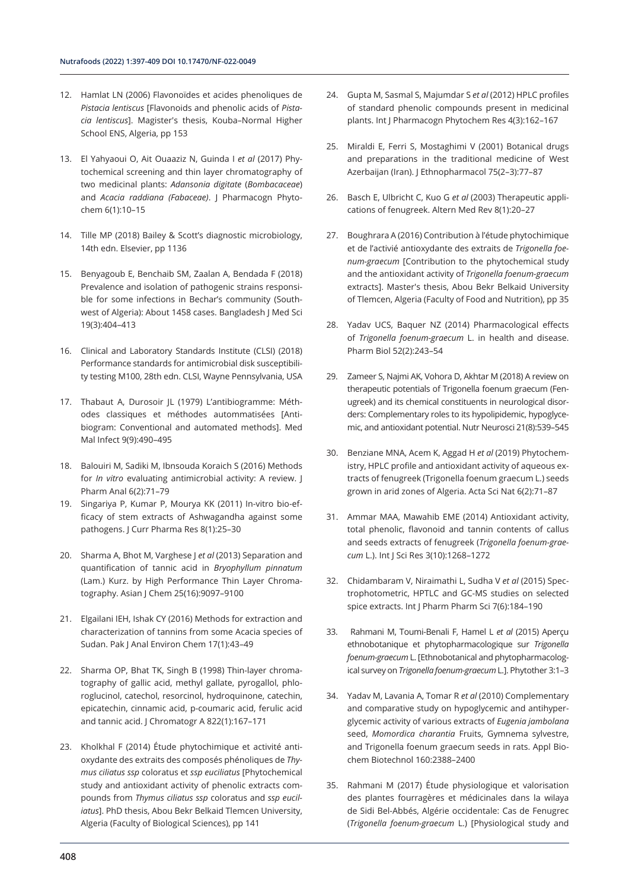- 12. Hamlat LN (2006) Flavonoïdes et acides phenoliques de *Pistacia lentiscus* [Flavonoids and phenolic acids of *Pistacia lentiscus*]. Magister's thesis, Kouba–Normal Higher School ENS, Algeria, pp 153
- 13. El Yahyaoui O, Ait Ouaaziz N, Guinda I *et al* (2017) Phytochemical screening and thin layer chromatography of two medicinal plants: *Adansonia digitate* (*Bombacaceae*) and *Acacia raddiana (Fabaceae)*. J Pharmacogn Phytochem 6(1):10–15
- 14. Tille MP (2018) Bailey & Scott's diagnostic microbiology, 14th edn. Elsevier, pp 1136
- 15. Benyagoub E, Benchaib SM, Zaalan A, Bendada F (2018) Prevalence and isolation of pathogenic strains responsible for some infections in Bechar's community (Southwest of Algeria): About 1458 cases. Bangladesh J Med Sci 19(3):404–413
- 16. Clinical and Laboratory Standards Institute (CLSI) (2018) Performance standards for antimicrobial disk susceptibility testing M100, 28th edn. CLSI, Wayne Pennsylvania, USA
- 17. Thabaut A, Durosoir JL (1979) L'antibiogramme: Méthodes classiques et méthodes autommatisées [Antibiogram: Conventional and automated methods]. Med Mal Infect 9(9):490–495
- 18. Balouiri M, Sadiki M, Ibnsouda Koraich S (2016) Methods for *In vitro* evaluating antimicrobial activity: A review. J Pharm Anal 6(2):71–79
- 19. Singariya P, Kumar P, Mourya KK (2011) In-vitro bio-efficacy of stem extracts of Ashwagandha against some pathogens. J Curr Pharma Res 8(1):25–30
- 20. Sharma A, Bhot M, Varghese J *et al* (2013) Separation and quantification of tannic acid in *Bryophyllum pinnatum*  (Lam.) Kurz. by High Performance Thin Layer Chromatography. Asian J Chem 25(16):9097–9100
- 21. Elgailani IEH, Ishak CY (2016) Methods for extraction and characterization of tannins from some Acacia species of Sudan. Pak J Anal Environ Chem 17(1):43–49
- 22. Sharma OP, Bhat TK, Singh B (1998) Thin-layer chromatography of gallic acid, methyl gallate, pyrogallol, phloroglucinol, catechol, resorcinol, hydroquinone, catechin, epicatechin, cinnamic acid, p-coumaric acid, ferulic acid and tannic acid. J Chromatogr A 822(1):167–171
- 23. Kholkhal F (2014) Étude phytochimique et activité antioxydante des extraits des composés phénoliques de *Thymus ciliatus ssp* coloratus et *ssp euciliatus* [Phytochemical study and antioxidant activity of phenolic extracts compounds from *Thymus ciliatus ssp* coloratus and *ssp euciliatus*]. PhD thesis, Abou Bekr Belkaid Tlemcen University, Algeria (Faculty of Biological Sciences), pp 141
- 24. Gupta M, Sasmal S, Majumdar S *et al* (2012) HPLC profiles of standard phenolic compounds present in medicinal plants. Int J Pharmacogn Phytochem Res 4(3):162–167
- 25. Miraldi E, Ferri S, Mostaghimi V (2001) Botanical drugs and preparations in the traditional medicine of West Azerbaijan (Iran). J Ethnopharmacol 75(2–3):77–87
- 26. Basch E, Ulbricht C, Kuo G *et al* (2003) Therapeutic applications of fenugreek. Altern Med Rev 8(1):20–27
- 27. Boughrara A (2016) Contribution à l'étude phytochimique et de l'activié antioxydante des extraits de *Trigonella foenum-graecum* [Contribution to the phytochemical study and the antioxidant activity of *Trigonella foenum-graecum* extracts]. Master's thesis, Abou Bekr Belkaid University of Tlemcen, Algeria (Faculty of Food and Nutrition), pp 35
- 28. Yadav UCS, Baquer NZ (2014) Pharmacological effects of *Trigonella foenum-graecum* L. in health and disease. Pharm Biol 52(2):243–54
- 29. Zameer S, Najmi AK, Vohora D, Akhtar M (2018) A review on therapeutic potentials of Trigonella foenum graecum (Fenugreek) and its chemical constituents in neurological disorders: Complementary roles to its hypolipidemic, hypoglycemic, and antioxidant potential. Nutr Neurosci 21(8):539–545
- 30. Benziane MNA, Acem K, Aggad H *et al* (2019) Phytochemistry, HPLC profile and antioxidant activity of aqueous extracts of fenugreek (Trigonella foenum graecum L.) seeds grown in arid zones of Algeria. Acta Sci Nat 6(2):71–87
- 31. Ammar MAA, Mawahib EME (2014) Antioxidant activity, total phenolic, flavonoid and tannin contents of callus and seeds extracts of fenugreek (*Trigonella foenum-graecum* L.). Int J Sci Res 3(10):1268–1272
- 32. Chidambaram V, Niraimathi L, Sudha V *et al* (2015) Spectrophotometric, HPTLC and GC-MS studies on selected spice extracts. Int J Pharm Pharm Sci 7(6):184–190
- 33. Rahmani M, Toumi-Benali F, Hamel L *et al* (2015) Aperçu ethnobotanique et phytopharmacologique sur *Trigonella foenum-graecum* L. [Ethnobotanical and phytopharmacological survey on *Trigonella foenum-graecum* L.]. Phytother 3:1–3
- 34. Yadav M, Lavania A, Tomar R *et al* (2010) Complementary and comparative study on hypoglycemic and antihyperglycemic activity of various extracts of *Eugenia jambolana* seed, *Momordica charantia* Fruits, Gymnema sylvestre, and Trigonella foenum graecum seeds in rats. Appl Biochem Biotechnol 160:2388–2400
- 35. Rahmani M (2017) Étude physiologique et valorisation des plantes fourragères et médicinales dans la wilaya de Sidi Bel-Abbés, Algérie occidentale: Cas de Fenugrec (*Trigonella foenum-graecum* L.) [Physiological study and